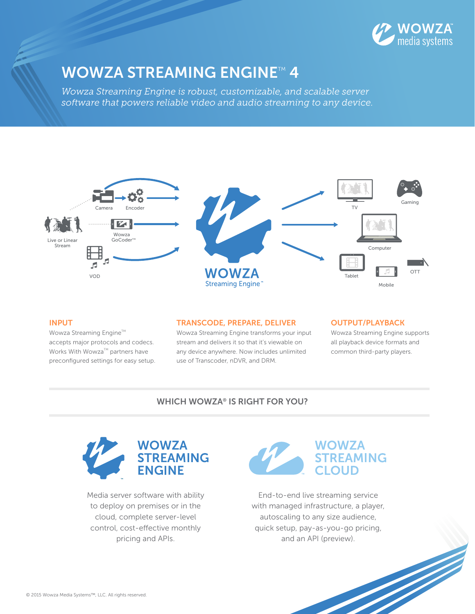

## **WOWZA STREAMING ENGINE™4**

*Wowza Streaming Engine is robust, customizable, and scalable server software that powers reliable video and audio streaming to any device.*



### INPUT

Wowza Streaming Engine™ accepts major protocols and codecs. Works With Wowza<sup>TM</sup> partners have preconfigured settings for easy setup.

#### TRANSCODE, PREPARE, DELIVER

Wowza Streaming Engine transforms your input stream and delivers it so that it's viewable on any device anywhere. Now includes unlimited use of Transcoder, nDVR, and DRM.

#### OUTPUT/PLAYBACK

Wowza Streaming Engine supports all playback device formats and common third-party players.

### WHICH WOWZA® IS RIGHT FOR YOU?



Media server software with ability to deploy on premises or in the cloud, complete server-level control, cost-effective monthly pricing and APIs.



End-to-end live streaming service with managed infrastructure, a player, autoscaling to any size audience, quick setup, pay-as-you-go pricing, and an API (preview).